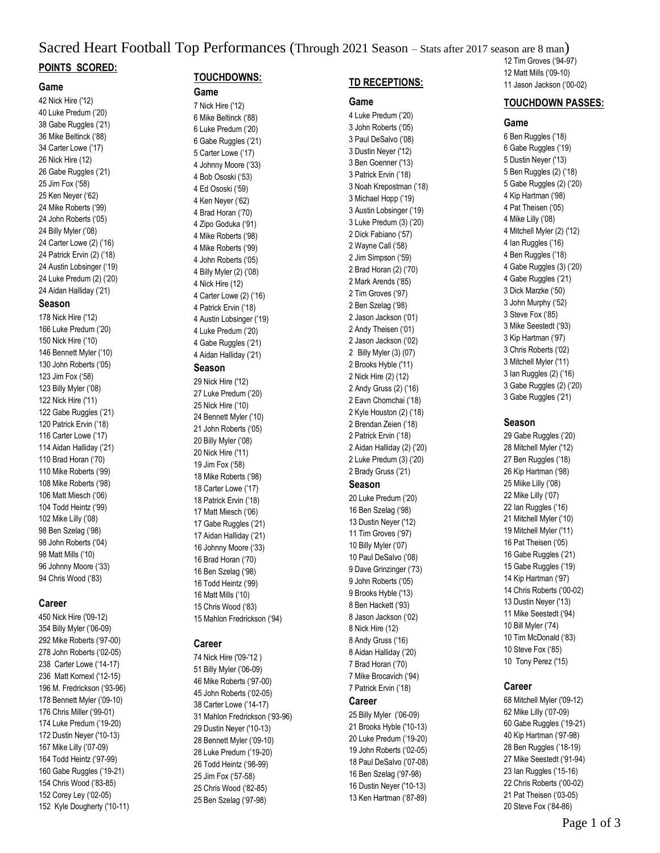#### Sacred Heart Football Top Performances (Through 2021 Season – Stats after 2017 season are 8 man) **POINTS SCORED:** 12 Tim Groves ('94-97)

#### **Game**

42 Nick Hire ('12) 40 Luke Predum ('20) 38 Gabe Ruggles ('21) 36 Mike Beltinck ('88) 34 Carter Lowe ('17) 26 Nick Hire (12) 26 Gabe Ruggles ('21) 25 Jim Fox ('58) 25 Ken Neyer ('62) 24 Mike Roberts ('99) 24 John Roberts ('05) 24 Billy Myler ('08) 24 Carter Lowe (2) ('16) 24 Patrick Ervin (2) ('18) 24 Austin Lobsinger ('19) 24 Luke Predum (2) ('20) 24 Aidan Halliday ('21)

#### **Season**

178 Nick Hire ('12) 166 Luke Predum ('20) 150 Nick Hire ('10) 146 Bennett Myler ('10) 130 John Roberts ('05) 123 Jim Fox ('58) 123 Billy Myler ('08) 122 Nick Hire ('11) 122 Gabe Ruggles ('21) 120 Patrick Ervin ('18) 116 Carter Lowe ('17) 114 Aidan Halliday ('21) 110 Brad Horan ('70) 110 Mike Roberts ('99) 108 Mike Roberts ('98) 106 Matt Miesch ('06) 104 Todd Heintz ('99) 102 Mike Lilly ('08) 98 Ben Szelag ('98) 98 John Roberts ('04) 98 Matt Mills ('10) 96 Johnny Moore ('33) 94 Chris Wood ('83)

## **Career**

450 Nick Hire ('09-12) 354 Billy Myler ('06-09) 292 Mike Roberts ('97-00) 278 John Roberts ('02-05) 238 Carter Lowe ('14-17) 236 Matt Kornexl ('12-15) 196 M. Fredrickson ('93-96) 178 Bennett Myler ('09-10) 176 Chris Miller ('99-01) 174 Luke Predum ('19-20) 172 Dustin Neyer ('10-13) 167 Mike Lilly ('07-09) 164 Todd Heintz ('97-99) 160 Gabe Ruggles ('19-21) 154 Chris Wood ('83-85) 152 Corey Ley ('02-05) 152 Kyle Dougherty ('10-11)

# **TOUCHDOWNS:**

# **Game**

7 Nick Hire ('12) 6 Mike Beltinck ('88) 6 Luke Predum ('20) 6 Gabe Ruggles ('21) 5 Carter Lowe ('17) 4 Johnny Moore ('33) 4 Bob Ososki ('53) 4 Ed Ososki ('59) 4 Ken Neyer ('62) 4 Brad Horan ('70) 4 Zipo Goduka ('91) 4 Mike Roberts ('98) 4 Mike Roberts ('99) 4 John Roberts ('05) 4 Billy Myler (2) ('08) 4 Nick Hire (12) 4 Carter Lowe (2) ('16) 4 Patrick Ervin ('18) 4 Austin Lobsinger ('19) 4 Luke Predum ('20) 4 Gabe Ruggles ('21) 4 Aidan Halliday ('21) **Season** 29 Nick Hire ('12) 27 Luke Predum ('20) 25 Nick Hire ('10) 24 Bennett Myler ('10) 21 John Roberts ('05) 20 Billy Myler ('08) 20 Nick Hire ('11) 19 Jim Fox ('58) 18 Mike Roberts ('98) 18 Carter Lowe ('17) 18 Patrick Ervin ('18) 17 Matt Miesch ('06) 17 Gabe Ruggles ('21) 17 Aidan Halliday ('21) 16 Johnny Moore ('33) 16 Brad Horan ('70) 16 Ben Szelag ('98) 16 Todd Heintz ('99) 16 Matt Mills ('10)

## **Career**

15 Chris Wood ('83) 15 Mahlon Fredrickson ('94)

74 Nick Hire ('09-'12 ) 51 Billy Myler ('06-09) 46 Mike Roberts ('97-00) 45 John Roberts ('02-05) 38 Carter Lowe ('14-17) 31 Mahlon Fredrickson ('93-96) 29 Dustin Neyer ('10-13) 28 Bennett Myler ('09-10) 28 Luke Predum ('19-20) 26 Todd Heintz ('98-99) 25 Jim Fox ('57-58) 25 Chris Wood ('82-85) 25 Ben Szelag ('97-98)

# **TD RECEPTIONS:**

### **Game**

4 Luke Predum ('20) 3 John Roberts ('05) 3 Paul DeSalvo ('08) 3 Dustin Neyer ('12) 3 Ben Goenner ('13) 3 Patrick Ervin ('18) 3 Noah Krepostman ('18) 3 Michael Hopp ('19) 3 Austin Lobsinger ('19) 3 Luke Predum (3) ('20) 2 Dick Fabiano ('57) 2 Wayne Call ('58) 2 Jim Simpson ('59) 2 Brad Horan (2) ('70) 2 Mark Arends ('85) 2 Tim Groves ('97) 2 Ben Szelag ('98) 2 Jason Jackson ('01) 2 Andy Theisen ('01) 2 Jason Jackson ('02) 2 Billy Myler (3) (07) 2 Brooks Hyble ('11) 2 Nick Hire (2) (12) 2 Andy Gruss (2) ('16) 2 Eavn Chomchai ('18) 2 Kyle Houston (2) ('18) 2 Brendan Zeien ('18) 2 Patrick Ervin ('18) 2 Aidan Halliday (2) ('20) 2 Luke Predum (3) ('20) 2 Brady Gruss ('21)

## **Season**

20 Luke Predum ('20) 16 Ben Szelag ('98) 13 Dustin Neyer ('12) 11 Tim Groves ('97) 10 Billy Myler ('07) 10 Paul DeSalvo ('08) 9 Dave Grinzinger ('73) 9 John Roberts ('05) 9 Brooks Hyble ('13) 8 Ben Hackett ('93) 8 Jason Jackson ('02) 8 Nick Hire (12) 8 Andy Gruss ('16) 8 Aidan Halliday ('20) 7 Brad Horan ('70) 7 Mike Brocavich ('94) 7 Patrick Ervin ('18)

#### **Career**

25 Billy Myler ('06-09) 21 Brooks Hyble ('10-13) 20 Luke Predum ('19-20) 19 John Roberts ('02-05) 18 Paul DeSalvo ('07-08) 16 Ben Szelag ('97-98) 16 Dustin Neyer ('10-13) 13 Ken Hartman ('87-89) 12 Matt Mills ('09-10) 11 Jason Jackson ('00-02)

## **TOUCHDOWN PASSES:**

## **Game**

6 Ben Ruggles ('18) 6 Gabe Ruggles ('19) 5 Dustin Neyer ('13) 5 Ben Ruggles (2) ('18) 5 Gabe Ruggles (2) ('20) 4 Kip Hartman ('98) 4 Pat Theisen ('05) 4 Mike Lilly ('08) 4 Mitchell Myler (2) ('12) 4 Ian Ruggles ('16) 4 Ben Ruggles ('18) 4 Gabe Ruggles (3) ('20) 4 Gabe Ruggles ('21) 3 Dick Marzke ('50) 3 John Murphy ('52) 3 Steve Fox ('85) 3 Mike Seestedt ('93) 3 Kip Hartman ('97) 3 Chris Roberts ('02) 3 Mitchell Myler ('11) 3 Ian Ruggles (2) ('16) 3 Gabe Ruggles (2) ('20) 3 Gabe Ruggles ('21)

#### **Season**

29 Gabe Ruggles ('20) 28 Mitchell Myler ('12) 27 Ben Ruggles ('18) 26 Kip Hartman ('98) 25 Miike Lilly ('08) 22 Mike Lilly ('07) 22 Ian Ruggles ('16) 21 Mitchell Myler ('10) 19 Mitchell Myler ('11) 16 Pat Theisen ('05) 16 Gabe Ruggles ('21) 15 Gabe Ruggles ('19) 14 Kip Hartman ('97) 14 Chris Roberts ('00-02) 13 Dustin Neyer ('13) 11 Mike Seestedt ('94) 10 Bill Myler ('74) 10 Tim McDonald ('83) 10 Steve Fox ('85) 10 Tony Perez ('15)

## **Career**

68 Mitchell Myler ('09-12) 62 Mike Lilly ('07-09) 60 Gabe Ruggles ('19-21) 40 Kip Hartman ('97-98) 28 Ben Ruggles ('18-19) 27 Mike Seestedt ('91-94) 23 Ian Ruggles ('15-16) 22 Chris Roberts ('00-02) 21 Pat Theisen ('03-05) 20 Steve Fox ('84-86)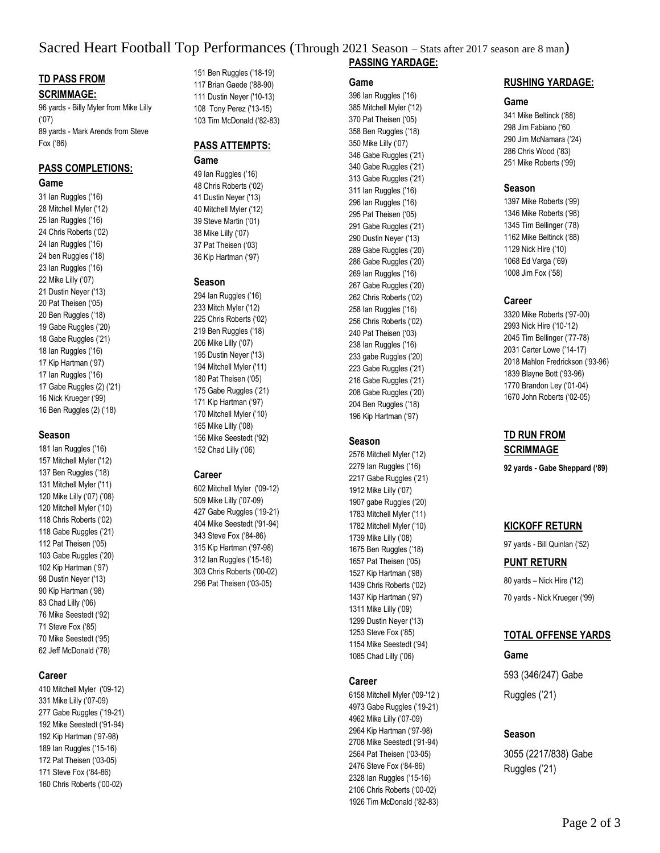# Sacred Heart Football Top Performances (Through 2021 Season – Stats after 2017 season are 8 man)

## **TD PASS FROM SCRIMMAGE:**

96 yards - Billy Myler from Mike Lilly ('07) 89 yards - Mark Arends from Steve Fox ('86)

# **PASS COMPLETIONS:**

#### **Game**

31 Ian Ruggles ('16) 28 Mitchell Myler ('12) 25 Ian Ruggles ('16) 24 Chris Roberts ('02) 24 Ian Ruggles ('16) 24 ben Ruggles ('18) 23 Ian Ruggles ('16) 22 Mike Lilly ('07) 21 Dustin Neyer ('13) 20 Pat Theisen ('05) 20 Ben Ruggles ('18) 19 Gabe Ruggles ('20) 18 Gabe Ruggles ('21) 18 Ian Ruggles ('16) 17 Kip Hartman ('97) 17 Ian Ruggles ('16) 17 Gabe Ruggles (2) ('21) 16 Nick Krueger ('99) 16 Ben Ruggles (2) ('18)

#### **Season**

181 Ian Ruggles ('16) 157 Mitchell Myler ('12) 137 Ben Ruggles ('18) 131 Mitchell Myler ('11) 120 Mike Lilly ('07) ('08) 120 Mitchell Myler ('10) 118 Chris Roberts ('02) 118 Gabe Ruggles ('21) 112 Pat Theisen ('05) 103 Gabe Ruggles ('20) 102 Kip Hartman ('97) 98 Dustin Neyer ('13) 90 Kip Hartman ('98) 83 Chad Lilly ('06) 76 Mike Seestedt ('92) 71 Steve Fox ('85) 70 Mike Seestedt ('95) 62 Jeff McDonald ('78)

## **Career**

410 Mitchell Myler ('09-12) 331 Mike Lilly ('07-09) 277 Gabe Ruggles ('19-21) 192 Mike Seestedt ('91-94) 192 Kip Hartman ('97-98) 189 Ian Ruggles ('15-16) 172 Pat Theisen ('03-05) 171 Steve Fox ('84-86) 160 Chris Roberts ('00-02)

151 Ben Ruggles ('18-19) 117 Brian Gaede ('88-90) 111 Dustin Neyer ('10-13) 108 Tony Perez ('13-15) 103 Tim McDonald ('82-83)

## **PASS ATTEMPTS: Game**

49 Ian Ruggles ('16) 48 Chris Roberts ('02) 41 Dustin Neyer ('13) 40 Mitchell Myler ('12) 39 Steve Martin ('01) 38 Mike Lilly ('07) 37 Pat Theisen ('03) 36 Kip Hartman ('97)

#### **Season**

294 Ian Ruggles ('16) 233 Mitch Myler ('12) 225 Chris Roberts ('02) 219 Ben Ruggles ('18) 206 Mike Lilly ('07) 195 Dustin Neyer ('13) 194 Mitchell Myler ('11) 180 Pat Theisen ('05) 175 Gabe Ruggles ('21) 171 Kip Hartman ('97) 170 Mitchell Myler ('10) 165 Mike Lilly ('08) 156 Mike Seestedt ('92) 152 Chad Lilly ('06)

## **Career**

602 Mitchell Myler ('09-12) 509 Mike Lilly ('07-09) 427 Gabe Ruggles ('19-21) 404 Mike Seestedt ('91-94) 343 Steve Fox ('84-86) 315 Kip Hartman ('97-98) 312 Ian Ruggles ('15-16) 303 Chris Roberts ('00-02) 296 Pat Theisen ('03-05)

# **PASSING YARDAGE:**

#### **Game**

396 Ian Ruggles ('16) 385 Mitchell Myler ('12) 370 Pat Theisen ('05) 358 Ben Ruggles ('18) 350 Mike Lilly ('07) 346 Gabe Ruggles ('21) 340 Gabe Ruggles ('21) 313 Gabe Ruggles ('21) 311 Ian Ruggles ('16) 296 Ian Ruggles ('16) 295 Pat Theisen ('05) 291 Gabe Ruggles ('21) 290 Dustin Neyer ('13) 289 Gabe Ruggles ('20) 286 Gabe Ruggles ('20) 269 Ian Ruggles ('16) 267 Gabe Ruggles ('20) 262 Chris Roberts ('02) 258 Ian Ruggles ('16) 256 Chris Roberts ('02) 240 Pat Theisen ('03) 238 Ian Ruggles ('16) 233 gabe Ruggles ('20) 223 Gabe Ruggles ('21) 216 Gabe Ruggles ('21) 208 Gabe Ruggles ('20) 204 Ben Ruggles ('18) 196 Kip Hartman ('97)

## **Season**

2576 Mitchell Myler ('12) 2279 Ian Ruggles ('16) 2217 Gabe Ruggles ('21) 1912 Mike Lilly ('07) 1907 gabe Ruggles ('20) 1783 Mitchell Myler ('11) 1782 Mitchell Myler ('10) 1739 Mike Lilly ('08) 1675 Ben Ruggles ('18) 1657 Pat Theisen ('05) 1527 Kip Hartman ('98) 1439 Chris Roberts ('02) 1437 Kip Hartman ('97) 1311 Mike Lilly ('09) 1299 Dustin Neyer ('13) 1253 Steve Fox ('85) 1154 Mike Seestedt ('94) 1085 Chad Lilly ('06)

## **Career**

6158 Mitchell Myler ('09-'12 ) 4973 Gabe Ruggles ('19-21) 4962 Mike Lilly ('07-09) 2964 Kip Hartman ('97-98) 2708 Mike Seestedt ('91-94) 2564 Pat Theisen ('03-05) 2476 Steve Fox ('84-86) 2328 Ian Ruggles ('15-16) 2106 Chris Roberts ('00-02) 1926 Tim McDonald ('82-83)

### **RUSHING YARDAGE:**

#### **Game**

341 Mike Beltinck ('88) 298 Jim Fabiano ('60 290 Jim McNamara ('24) 286 Chris Wood ('83) 251 Mike Roberts ('99)

#### **Season**

1397 Mike Roberts ('99) 1346 Mike Roberts ('98) 1345 Tim Bellinger ('78) 1162 Mike Beltinck ('88) 1129 Nick Hire ('10) 1068 Ed Varga ('69) 1008 Jim Fox ('58)

## **Career**

3320 Mike Roberts ('97-00) 2993 Nick Hire ('10-'12) 2045 Tim Bellinger ('77-78) 2031 Carter Lowe ('14-17) 2018 Mahlon Fredrickson ('93-96) 1839 Blayne Bott ('93-96) 1770 Brandon Ley ('01-04) 1670 John Roberts ('02-05)

## **TD RUN FROM SCRIMMAGE**

**92 yards - Gabe Sheppard ('89)**

## **KICKOFF RETURN**

97 yards - Bill Quinlan ('52)

## **PUNT RETURN**

80 yards – Nick Hire ('12) 70 yards - Nick Krueger ('99)

## **TOTAL OFFENSE YARDS**

**Game** 593 (346/247) Gabe Ruggles ('21)

## **Season**

3055 (2217/838) Gabe Ruggles ('21)